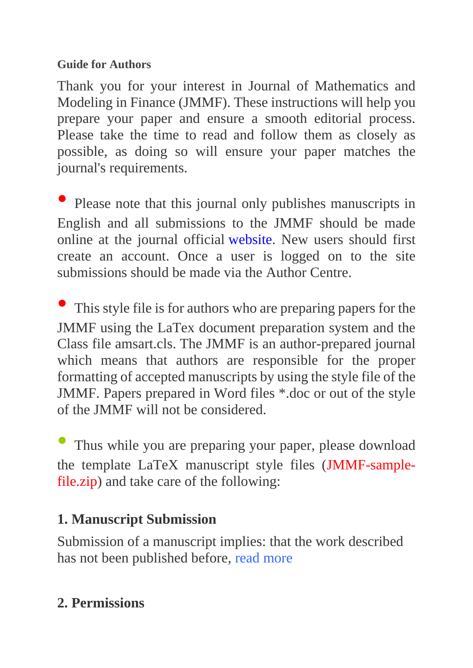#### **Guide for Authors**

Thank you for your interest in Journal of Mathematics and Modeling in Finance (JMMF). These instructions will help you prepare your paper and ensure a smooth editorial process. Please take the time to read and follow them as closely as possible, as doing so will ensure your paper matches the journal's requirements.

Please note that this journal only publishes manuscripts in English and all submissions to the JMMF should be made online at the journal official [website.](http://jmmf.atu.ac.ir/author) New users should first create an account. Once a user is logged on to the site submissions should be made via the Author Centre.

This style file is for authors who are preparing papers for the JMMF using the LaTex document preparation system and the Class file amsart.cls. The JMMF is an author-prepared journal which means that authors are responsible for the proper formatting of accepted manuscripts by using the style file of the JMMF. Papers prepared in Word files \*.doc or out of the style of the JMMF will not be considered.

Thus while you are preparing your paper, please download the template LaTeX manuscript style files [\(JMMF-sample](http://jmmf.atu.ac.ir/data/jmmf/news/JMMF-sample-file.zip)[file.zip\)](http://jmmf.atu.ac.ir/data/jmmf/news/JMMF-sample-file.zip) and take care of the following:

#### **1. Manuscript Submission**

Submission of a manuscript implies: that the work described has not been published before, [read more](http://jmmf.atu.ac.ir/page_12.html)

## **2. Permissions**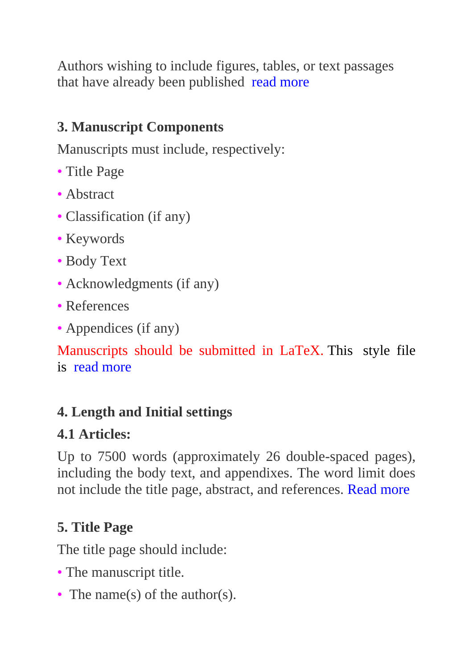Authors wishing to include figures, tables, or text passages that have already been published [read more](http://jmmf.atu.ac.ir/page_13.html)

## **3. Manuscript Components**

Manuscripts must include, respectively:

- Title Page
- Abstract
- Classification (if any)
- Keywords
- Body Text
- Acknowledgments (if any)
- References
- Appendices (if any)

Manuscripts should be submitted in LaTeX. This style file is [read more](http://jmmf.atu.ac.ir/page_14.html) 

#### **4. Length and Initial settings**

#### **4.1 Articles:**

Up to 7500 words (approximately 26 double-spaced pages), including the body text, and appendixes. The word limit does not include the title page, abstract, and references. [Read more](http://jmmf.atu.ac.ir/page_15.html)

## **5. Title Page**

The title page should include:

- The manuscript title.
- The name(s) of the author(s).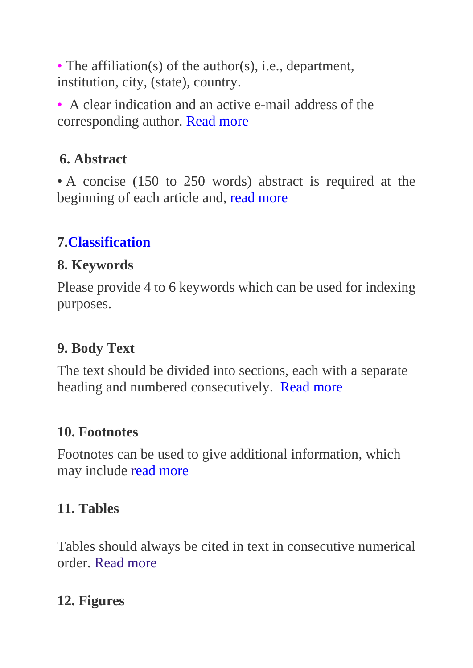• The affiliation(s) of the author(s), i.e., department, institution, city, (state), country.

• A clear indication and an active e-mail address of the corresponding author. [Read more](http://jmmf.atu.ac.ir/page_16.html)

#### **6. Abstract**

• A concise (150 to 250 words) abstract is required at the beginning of each article and, [read more](http://jmmf.atu.ac.ir/page_17.html)

## **7[.Classification](http://jmmf.atu.ac.ir/page_18.html)**

#### **8. Keywords**

Please provide 4 to 6 keywords which can be used for indexing purposes.

## **9. Body Text**

The text should be divided into sections, each with a separate heading and numbered consecutively.[Read more](http://jmmf.atu.ac.ir/page_19.html)

#### **10. Footnotes**

Footnotes can be used to give additional information, which may include [read more](http://jmmf.atu.ac.ir/page_20.html)

## **11. Tables**

Tables should always be cited in text in consecutive numerical order. [Read more](http://jmmf.atu.ac.ir/page_24.html)

## **12. Figures**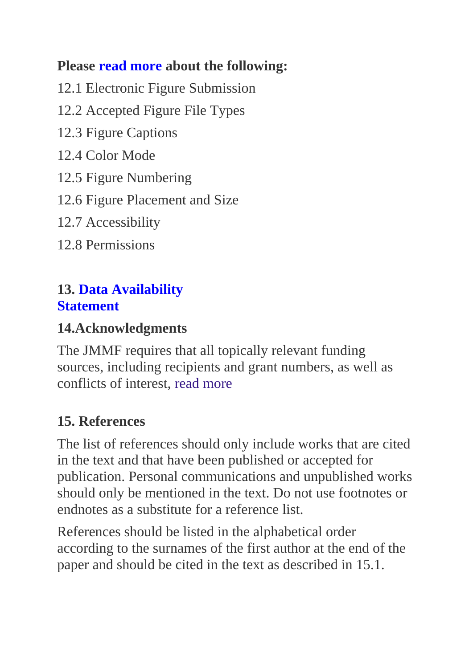#### **Please [read more](http://jmmf.atu.ac.ir/page_28.html) about the following:**

12.1 Electronic Figure Submission

- 12.2 Accepted Figure File Types
- 12.3 Figure Captions
- 12.4 Color Mode
- 12.5 Figure Numbering

12.6 Figure Placement and Size

12.7 Accessibility

12.8 Permissions

#### **13. [Data Availability](http://jmmf.atu.ac.ir/page_23.html)  [Statement](http://jmmf.atu.ac.ir/page_23.html)**

#### **14.Acknowledgments**

The JMMF requires that all topically relevant funding sources, including recipients and grant numbers, as well as conflicts of interest, [read more](http://jmmf.atu.ac.ir/page_22.html)

## **15. References**

The list of references should only include works that are cited in the text and that have been published or accepted for publication. Personal communications and unpublished works should only be mentioned in the text. Do not use footnotes or endnotes as a substitute for a reference list.

References should be listed in the alphabetical order according to the surnames of the first author at the end of the paper and should be cited in the text as described in 15.1.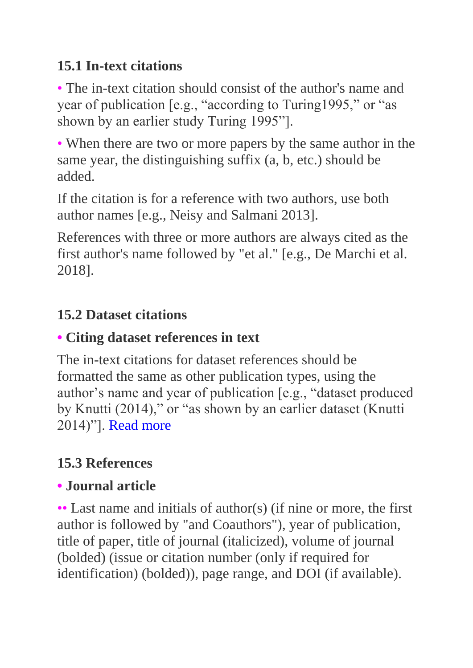## **15.1 In-text citations**

• The in-text citation should consist of the author's name and year of publication [e.g., "according to Turing1995," or "as shown by an earlier study Turing 1995"].

• When there are two or more papers by the same author in the same year, the distinguishing suffix (a, b, etc.) should be added.

If the citation is for a reference with two authors, use both author names [e.g., Neisy and Salmani 2013].

References with three or more authors are always cited as the first author's name followed by "et al." [e.g., De Marchi et al. 2018].

## **15.2 Dataset citations**

#### **• Citing dataset references in text**

The in-text citations for dataset references should be formatted the same as other publication types, using the author's name and year of publication [e.g., "dataset produced by Knutti (2014)," or "as shown by an earlier dataset (Knutti 2014)"]. [Read more](http://jmmf.atu.ac.ir/page_21.html)

# **15.3 References**

## **• Journal article**

•• Last name and initials of author(s) (if nine or more, the first author is followed by "and Coauthors"), year of publication, title of paper, title of journal (italicized), volume of journal (bolded) (issue or citation number (only if required for identification) (bolded)), page range, and DOI (if available).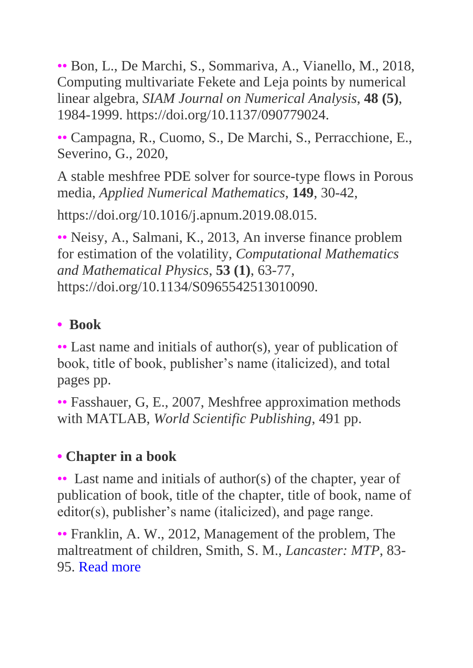•• Bon, L., De Marchi, S., Sommariva, A., Vianello, M., 2018, Computing multivariate Fekete and Leja points by numerical linear algebra, *SIAM Journal on Numerical Analysis*, **48 (5)**, 1984-1999. https://doi.org/10.1137/090779024.

•• Campagna, R., Cuomo, S., De Marchi, S., Perracchione, E., Severino, G., 2020,

A stable meshfree PDE solver for source-type flows in Porous media, *Applied Numerical Mathematics*, **149**, 30-42,

https://doi.org/10.1016/j.apnum.2019.08.015.

•• Neisy, A., Salmani, K., 2013, An inverse finance problem for estimation of the volatility, *Computational Mathematics and Mathematical Physics*, **53 (1)**, 63-77, https://doi.org/10.1134/S0965542513010090.

#### **• Book**

•• Last name and initials of author(s), year of publication of book, title of book, publisher's name (italicized), and total pages pp.

•• Fasshauer, G, E., 2007, Meshfree approximation methods with MATLAB, *World Scientific Publishing*, 491 pp.

## **• Chapter in a book**

•• Last name and initials of author(s) of the chapter, year of publication of book, title of the chapter, title of book, name of editor(s), publisher's name (italicized), and page range.

•• Franklin, A. W., 2012, Management of the problem, The maltreatment of children, Smith, S. M., *Lancaster: MTP*, 83- 95. [Read more](http://jmmf.atu.ac.ir/page_21.html)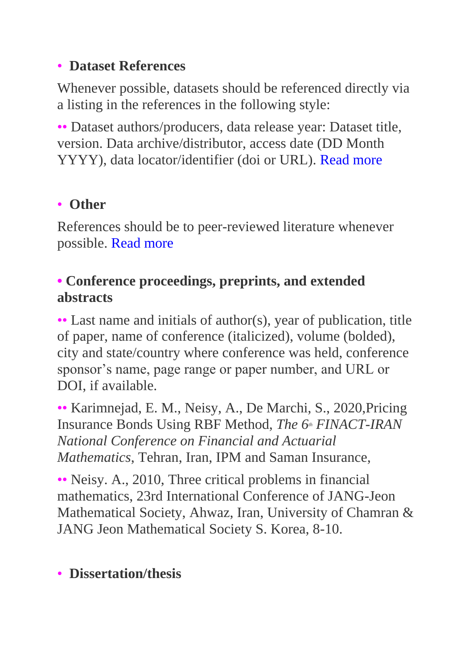#### • **Dataset References**

Whenever possible, datasets should be referenced directly via a listing in the references in the following style:

•• Dataset authors/producers, data release year: Dataset title, version. Data archive/distributor, access date (DD Month YYYY), data locator/identifier (doi or URL). [Read more](http://jmmf.atu.ac.ir/page_21.html)

## • **Other**

References should be to peer-reviewed literature whenever possible. [Read more](http://jmmf.atu.ac.ir/page_21.html)

#### **• Conference proceedings, preprints, and extended abstracts**

•• Last name and initials of author(s), year of publication, title of paper, name of conference (italicized), volume (bolded), city and state/country where conference was held, conference sponsor's name, page range or paper number, and URL or DOI, if available.

•• Karimnejad, E. M., Neisy, A., De Marchi, S., 2020,Pricing Insurance Bonds Using RBF Method, *The 6th FINACT-IRAN National Conference on Financial and Actuarial Mathematics*, Tehran, Iran, IPM and Saman Insurance,

•• Neisy. A., 2010, Three critical problems in financial mathematics, 23rd International Conference of JANG-Jeon Mathematical Society, Ahwaz, Iran, University of Chamran & JANG Jeon Mathematical Society S. Korea, 8-10.

## • **Dissertation/thesis**